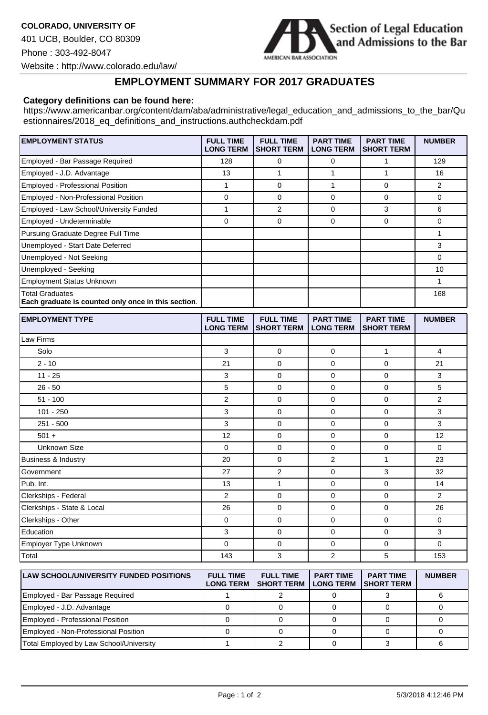

## **EMPLOYMENT SUMMARY FOR 2017 GRADUATES**

## **Category definitions can be found here:**

https://www.americanbar.org/content/dam/aba/administrative/legal\_education\_and\_admissions\_to\_the\_bar/Qu estionnaires/2018\_eq\_definitions\_and\_instructions.authcheckdam.pdf

| <b>EMPLOYMENT STATUS</b>                                                      | <b>FULL TIME</b><br><b>LONG TERM</b> | <b>FULL TIME</b><br><b>SHORT TERM</b> | <b>PART TIME</b><br><b>LONG TERM</b> | <b>PART TIME</b><br><b>SHORT TERM</b> | <b>NUMBER</b> |
|-------------------------------------------------------------------------------|--------------------------------------|---------------------------------------|--------------------------------------|---------------------------------------|---------------|
| Employed - Bar Passage Required                                               | 128                                  | 0                                     | 0                                    |                                       | 129           |
| Employed - J.D. Advantage                                                     | 13                                   |                                       |                                      |                                       | 16            |
| Employed - Professional Position                                              |                                      | $\Omega$                              |                                      | 0                                     | 2             |
| Employed - Non-Professional Position                                          | 0                                    | $\Omega$                              | $\Omega$                             | 0                                     | $\Omega$      |
| Employed - Law School/University Funded                                       |                                      | 2                                     | $\Omega$                             | 3                                     | 6             |
| Employed - Undeterminable                                                     | 0                                    | $\Omega$                              | $\Omega$                             | 0                                     | 0             |
| Pursuing Graduate Degree Full Time                                            |                                      |                                       |                                      |                                       |               |
| Unemployed - Start Date Deferred                                              |                                      |                                       |                                      |                                       | 3             |
| Unemployed - Not Seeking                                                      |                                      |                                       |                                      |                                       | 0             |
| Unemployed - Seeking                                                          |                                      |                                       |                                      |                                       | 10            |
| <b>Employment Status Unknown</b>                                              |                                      |                                       |                                      |                                       |               |
| <b>Total Graduates</b><br>Each graduate is counted only once in this section. |                                      |                                       |                                      |                                       | 168           |
|                                                                               |                                      |                                       |                                      |                                       |               |

| <b>EMPLOYMENT TYPE</b>         | <b>FULL TIME</b><br><b>LONG TERM</b> | <b>FULL TIME</b><br><b>SHORT TERM</b> | <b>PART TIME</b><br><b>LONG TERM</b> | <b>PART TIME</b><br><b>SHORT TERM</b> | <b>NUMBER</b>  |
|--------------------------------|--------------------------------------|---------------------------------------|--------------------------------------|---------------------------------------|----------------|
| Law Firms                      |                                      |                                       |                                      |                                       |                |
| Solo                           | 3                                    | $\mathbf 0$                           | $\mathbf 0$                          | 1                                     | 4              |
| $2 - 10$                       | 21                                   | $\mathbf 0$                           | $\mathbf 0$                          | $\mathbf 0$                           | 21             |
| $11 - 25$                      | 3                                    | $\mathbf 0$                           | $\mathbf 0$                          | $\mathbf 0$                           | 3              |
| $26 - 50$                      | 5                                    | $\mathbf 0$                           | $\mathbf 0$                          | 0                                     | 5              |
| $51 - 100$                     | $\overline{2}$                       | $\mathbf 0$                           | $\mathbf 0$                          | $\mathbf 0$                           | $\overline{2}$ |
| $101 - 250$                    | 3                                    | $\mathbf 0$                           | $\mathbf 0$                          | 0                                     | 3              |
| $251 - 500$                    | 3                                    | $\mathbf 0$                           | $\mathbf 0$                          | $\mathbf 0$                           | 3              |
| $501 +$                        | 12                                   | $\mathbf 0$                           | $\mathbf 0$                          | $\mathbf 0$                           | 12             |
| <b>Unknown Size</b>            | $\Omega$                             | $\mathbf 0$                           | $\mathbf 0$                          | $\mathbf 0$                           | $\mathbf 0$    |
| <b>Business &amp; Industry</b> | 20                                   | $\mathbf 0$                           | $\overline{2}$                       | 1                                     | 23             |
| Government                     | 27                                   | 2                                     | $\mathbf 0$                          | 3                                     | 32             |
| Pub. Int.                      | 13                                   | 1                                     | $\mathbf 0$                          | $\mathbf 0$                           | 14             |
| Clerkships - Federal           | 2                                    | $\mathbf 0$                           | $\mathbf 0$                          | 0                                     | $\overline{2}$ |
| Clerkships - State & Local     | 26                                   | $\mathbf 0$                           | $\mathbf 0$                          | $\mathbf 0$                           | 26             |
| Clerkships - Other             | $\mathbf 0$                          | $\mathbf 0$                           | $\mathbf 0$                          | $\mathbf 0$                           | $\mathbf 0$    |
| Education                      | 3                                    | $\mathbf 0$                           | $\mathbf 0$                          | $\mathbf 0$                           | 3              |
| Employer Type Unknown          | 0                                    | $\mathbf 0$                           | $\mathbf 0$                          | $\mathbf 0$                           | $\mathbf 0$    |
| Total                          | 143                                  | 3                                     | 2                                    | 5                                     | 153            |

| <b>LAW SCHOOL/UNIVERSITY FUNDED POSITIONS</b> | <b>FULL TIME</b><br><b>LONG TERM</b> | <b>FULL TIME</b><br><b>ISHORT TERM</b> | <b>PART TIME</b><br><b>LONG TERM</b> | <b>PART TIME</b><br><b>ISHORT TERM</b> | <b>NUMBER</b> |
|-----------------------------------------------|--------------------------------------|----------------------------------------|--------------------------------------|----------------------------------------|---------------|
| Employed - Bar Passage Required               |                                      |                                        |                                      |                                        |               |
| Employed - J.D. Advantage                     |                                      |                                        |                                      |                                        |               |
| Employed - Professional Position              |                                      |                                        |                                      |                                        |               |
| Employed - Non-Professional Position          |                                      |                                        |                                      |                                        |               |
| Total Employed by Law School/University       |                                      |                                        |                                      |                                        |               |